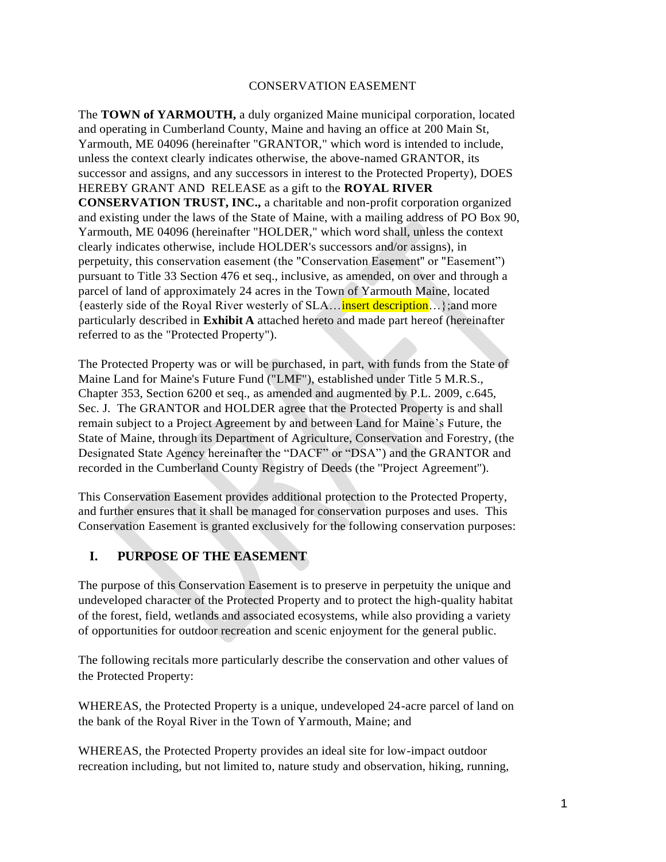#### CONSERVATION EASEMENT

The **TOWN of YARMOUTH,** a duly organized Maine municipal corporation, located and operating in Cumberland County, Maine and having an office at 200 Main St, Yarmouth, ME 04096 (hereinafter "GRANTOR," which word is intended to include, unless the context clearly indicates otherwise, the above-named GRANTOR, its successor and assigns, and any successors in interest to the Protected Property), DOES HEREBY GRANT AND RELEASE as a gift to the **ROYAL RIVER CONSERVATION TRUST, INC.,** a charitable and non-profit corporation organized and existing under the laws of the State of Maine, with a mailing address of PO Box 90, Yarmouth, ME 04096 (hereinafter "HOLDER," which word shall, unless the context clearly indicates otherwise, include HOLDER's successors and/or assigns), in perpetuity, this conservation easement (the "Conservation Easement'' or "Easement") pursuant to Title 33 Section 476 et seq., inclusive, as amended, on over and through a parcel of land of approximately 24 acres in the Town of Yarmouth Maine, located {easterly side of the Royal River westerly of SLA…insert description…};and more particularly described in **Exhibit A** attached hereto and made part hereof (hereinafter referred to as the "Protected Property").

The Protected Property was or will be purchased, in part, with funds from the State of Maine Land for Maine's Future Fund ("LMF"), established under Title 5 M.R.S., Chapter 353, Section 6200 et seq., as amended and augmented by P.L. 2009, c.645, Sec. J. The GRANTOR and HOLDER agree that the Protected Property is and shall remain subject to a Project Agreement by and between Land for Maine's Future, the State of Maine, through its Department of Agriculture, Conservation and Forestry, (the Designated State Agency hereinafter the "DACF" or "DSA") and the GRANTOR and recorded in the Cumberland County Registry of Deeds (the ''Project Agreement'').

This Conservation Easement provides additional protection to the Protected Property, and further ensures that it shall be managed for conservation purposes and uses. This Conservation Easement is granted exclusively for the following conservation purposes:

# **I. PURPOSE OF THE EASEMENT**

The purpose of this Conservation Easement is to preserve in perpetuity the unique and undeveloped character of the Protected Property and to protect the high-quality habitat of the forest, field, wetlands and associated ecosystems, while also providing a variety of opportunities for outdoor recreation and scenic enjoyment for the general public.

The following recitals more particularly describe the conservation and other values of the Protected Property:

WHEREAS, the Protected Property is a unique, undeveloped 24-acre parcel of land on the bank of the Royal River in the Town of Yarmouth, Maine; and

WHEREAS, the Protected Property provides an ideal site for low-impact outdoor recreation including, but not limited to, nature study and observation, hiking, running,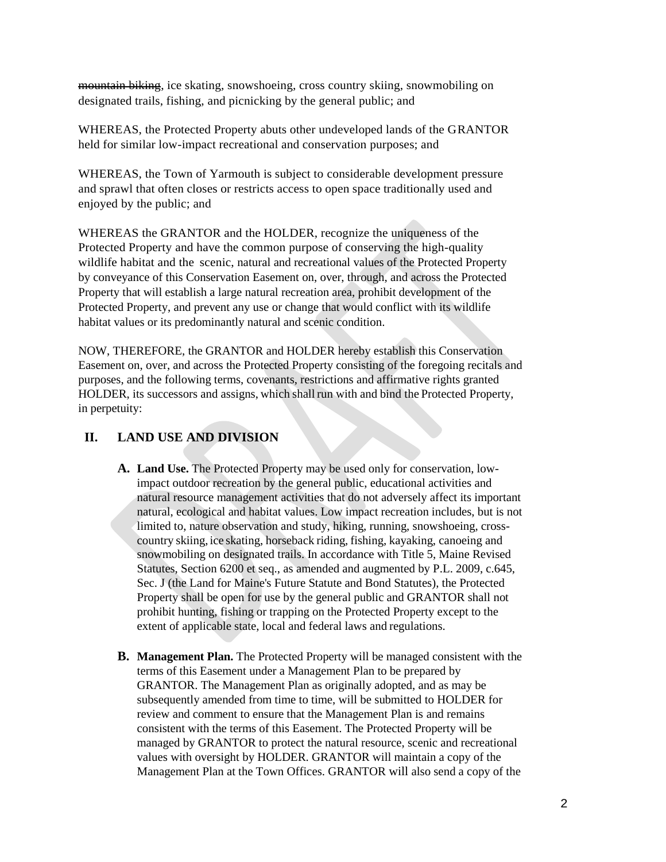mountain biking, ice skating, snowshoeing, cross country skiing, snowmobiling on designated trails, fishing, and picnicking by the general public; and

WHEREAS, the Protected Property abuts other undeveloped lands of the GRANTOR held for similar low-impact recreational and conservation purposes; and

WHEREAS, the Town of Yarmouth is subject to considerable development pressure and sprawl that often closes or restricts access to open space traditionally used and enjoyed by the public; and

WHEREAS the GRANTOR and the HOLDER, recognize the uniqueness of the Protected Property and have the common purpose of conserving the high-quality wildlife habitat and the scenic, natural and recreational values of the Protected Property by conveyance of this Conservation Easement on, over, through, and across the Protected Property that will establish a large natural recreation area, prohibit development of the Protected Property, and prevent any use or change that would conflict with its wildlife habitat values or its predominantly natural and scenic condition.

NOW, THEREFORE, the GRANTOR and HOLDER hereby establish this Conservation Easement on, over, and across the Protected Property consisting of the foregoing recitals and purposes, and the following terms, covenants, restrictions and affirmative rights granted HOLDER, its successors and assigns, which shall run with and bind the Protected Property, in perpetuity:

# **II. LAND USE AND DIVISION**

- **A. Land Use.** The Protected Property may be used only for conservation, lowimpact outdoor recreation by the general public, educational activities and natural resource management activities that do not adversely affect its important natural, ecological and habitat values. Low impact recreation includes, but is not limited to, nature observation and study, hiking, running, snowshoeing, crosscountry skiing, ice skating, horseback riding, fishing, kayaking, canoeing and snowmobiling on designated trails. In accordance with Title 5, Maine Revised Statutes, Section 6200 et seq., as amended and augmented by P.L. 2009, c.645, Sec. J (the Land for Maine's Future Statute and Bond Statutes), the Protected Property shall be open for use by the general public and GRANTOR shall not prohibit hunting, fishing or trapping on the Protected Property except to the extent of applicable state, local and federal laws and regulations.
- **B. Management Plan.** The Protected Property will be managed consistent with the terms of this Easement under a Management Plan to be prepared by GRANTOR. The Management Plan as originally adopted, and as may be subsequently amended from time to time, will be submitted to HOLDER for review and comment to ensure that the Management Plan is and remains consistent with the terms of this Easement. The Protected Property will be managed by GRANTOR to protect the natural resource, scenic and recreational values with oversight by HOLDER. GRANTOR will maintain a copy of the Management Plan at the Town Offices. GRANTOR will also send a copy of the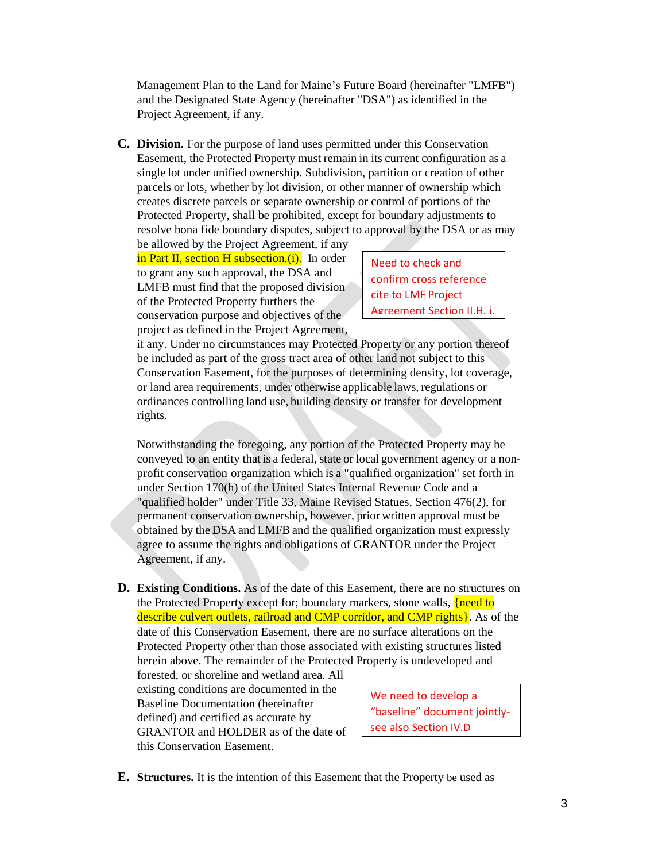Management Plan to the Land for Maine's Future Board (hereinafter "LMFB") and the Designated State Agency (hereinafter "DSA") as identified in the Project Agreement, if any.

**C. Division.** For the purpose of land uses permitted under this Conservation Easement, the Protected Property must remain in its current configuration as a single lot under unified ownership. Subdivision, partition or creation of other parcels or lots, whether by lot division, or other manner of ownership which creates discrete parcels or separate ownership or control of portions of the Protected Property, shall be prohibited, except for boundary adjustments to resolve bona fide boundary disputes, subject to approval by the DSA or as may

be allowed by the Project Agreement, if any in Part II, section H subsection.(i). In order to grant any such approval, the DSA and LMFB must find that the proposed division of the Protected Property furthers the conservation purpose and objectives of the project as defined in the Project Agreement,

Need to check and confirm cross reference cite to LMF Project Agreement Section II.H. i.

if any. Under no circumstances may Protected Property or any portion thereof be included as part of the gross tract area of other land not subject to this Conservation Easement, for the purposes of determining density, lot coverage, or land area requirements, under otherwise applicable laws, regulations or ordinances controlling land use, building density or transfer for development rights.

Notwithstanding the foregoing, any portion of the Protected Property may be conveyed to an entity that is a federal, state or local government agency or a nonprofit conservation organization which is a "qualified organization" set forth in under Section 170(h) of the United States Internal Revenue Code and a "qualified holder" under Title 33, Maine Revised Statues, Section 476(2), for permanent conservation ownership, however, prior written approval must be obtained by the DSA and LMFB and the qualified organization must expressly agree to assume the rights and obligations of GRANTOR under the Project Agreement, if any.

**D. Existing Conditions.** As of the date of this Easement, there are no structures on the Protected Property except for; boundary markers, stone walls, *{need to}* describe culvert outlets, railroad and CMP corridor, and CMP rights }. As of the date of this Conservation Easement, there are no surface alterations on the Protected Property other than those associated with existing structures listed herein above. The remainder of the Protected Property is undeveloped and

forested, or shoreline and wetland area. All existing conditions are documented in the Baseline Documentation (hereinafter defined) and certified as accurate by GRANTOR and HOLDER as of the date of this Conservation Easement.

We need to develop a "baseline" document jointlysee also Section IV.D

**E. Structures.** It is the intention of this Easement that the Property be used as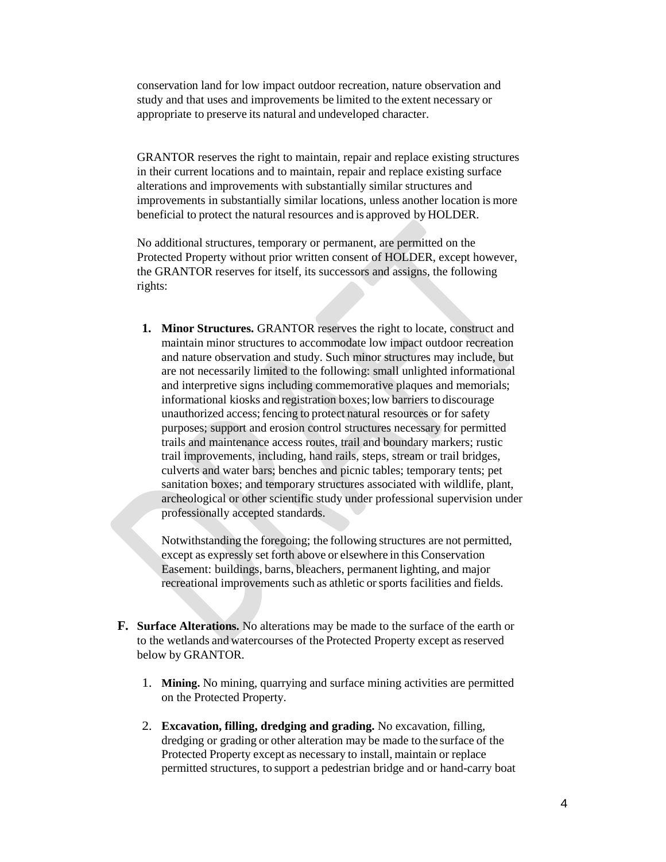conservation land for low impact outdoor recreation, nature observation and study and that uses and improvements be limited to the extent necessary or appropriate to preserve its natural and undeveloped character.

GRANTOR reserves the right to maintain, repair and replace existing structures in their current locations and to maintain, repair and replace existing surface alterations and improvements with substantially similar structures and improvements in substantially similar locations, unless another location is more beneficial to protect the natural resources and is approved by HOLDER.

No additional structures, temporary or permanent, are permitted on the Protected Property without prior written consent of HOLDER, except however, the GRANTOR reserves for itself, its successors and assigns, the following rights:

**1. Minor Structures.** GRANTOR reserves the right to locate, construct and maintain minor structures to accommodate low impact outdoor recreation and nature observation and study. Such minor structures may include, but are not necessarily limited to the following: small unlighted informational and interpretive signs including commemorative plaques and memorials; informational kiosks and registration boxes;low barriers to discourage unauthorized access;fencing to protect natural resources or for safety purposes; support and erosion control structures necessary for permitted trails and maintenance access routes, trail and boundary markers; rustic trail improvements, including, hand rails, steps, stream or trail bridges, culverts and water bars; benches and picnic tables; temporary tents; pet sanitation boxes; and temporary structures associated with wildlife, plant, archeological or other scientific study under professional supervision under professionally accepted standards.

Notwithstanding the foregoing; the following structures are not permitted, except as expressly set forth above or elsewhere in this Conservation Easement: buildings, barns, bleachers, permanent lighting, and major recreational improvements such as athletic or sports facilities and fields.

- **F. Surface Alterations.** No alterations may be made to the surface of the earth or to the wetlands and watercourses of the Protected Property except asreserved below by GRANTOR.
	- 1. **Mining.** No mining, quarrying and surface mining activities are permitted on the Protected Property.
	- 2. **Excavation, filling, dredging and grading.** No excavation, filling, dredging or grading or other alteration may be made to the surface of the Protected Property except as necessary to install, maintain or replace permitted structures, to support a pedestrian bridge and or hand-carry boat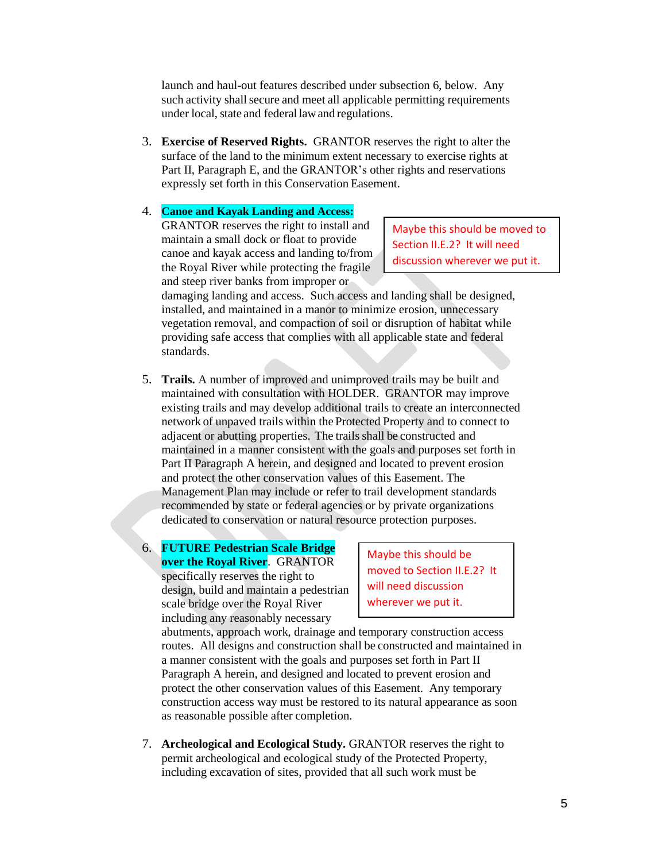launch and haul-out features described under subsection 6, below. Any such activity shall secure and meet all applicable permitting requirements under local, state and federal law and regulations.

3. **Exercise of Reserved Rights.** GRANTOR reserves the right to alter the surface of the land to the minimum extent necessary to exercise rights at Part II, Paragraph E, and the GRANTOR's other rights and reservations expressly set forth in this Conservation Easement.

### 4. **Canoe and Kayak Landing and Access:**

GRANTOR reserves the right to install and maintain a small dock or float to provide canoe and kayak access and landing to/from the Royal River while protecting the fragile and steep river banks from improper or

Maybe this should be moved to Section II.E.2? It will need discussion wherever we put it.

damaging landing and access. Such access and landing shall be designed, installed, and maintained in a manor to minimize erosion, unnecessary vegetation removal, and compaction of soil or disruption of habitat while providing safe access that complies with all applicable state and federal standards.

- 5. **Trails.** A number of improved and unimproved trails may be built and maintained with consultation with HOLDER. GRANTOR may improve existing trails and may develop additional trails to create an interconnected network of unpaved trails within the Protected Property and to connect to adjacent or abutting properties. The trails shall be constructed and maintained in a manner consistent with the goals and purposes set forth in Part II Paragraph A herein, and designed and located to prevent erosion and protect the other conservation values of this Easement. The Management Plan may include or refer to trail development standards recommended by state or federal agencies or by private organizations dedicated to conservation or natural resource protection purposes.
- 6. **FUTURE Pedestrian Scale Bridge over the Royal River**. GRANTOR specifically reserves the right to design, build and maintain a pedestrian scale bridge over the Royal River including any reasonably necessary

Maybe this should be moved to Section II.E.2? It will need discussion wherever we put it.

abutments, approach work, drainage and temporary construction access routes. All designs and construction shall be constructed and maintained in a manner consistent with the goals and purposes set forth in Part II Paragraph A herein, and designed and located to prevent erosion and protect the other conservation values of this Easement. Any temporary construction access way must be restored to its natural appearance as soon as reasonable possible after completion.

7. **Archeological and Ecological Study.** GRANTOR reserves the right to permit archeological and ecological study of the Protected Property, including excavation of sites, provided that all such work must be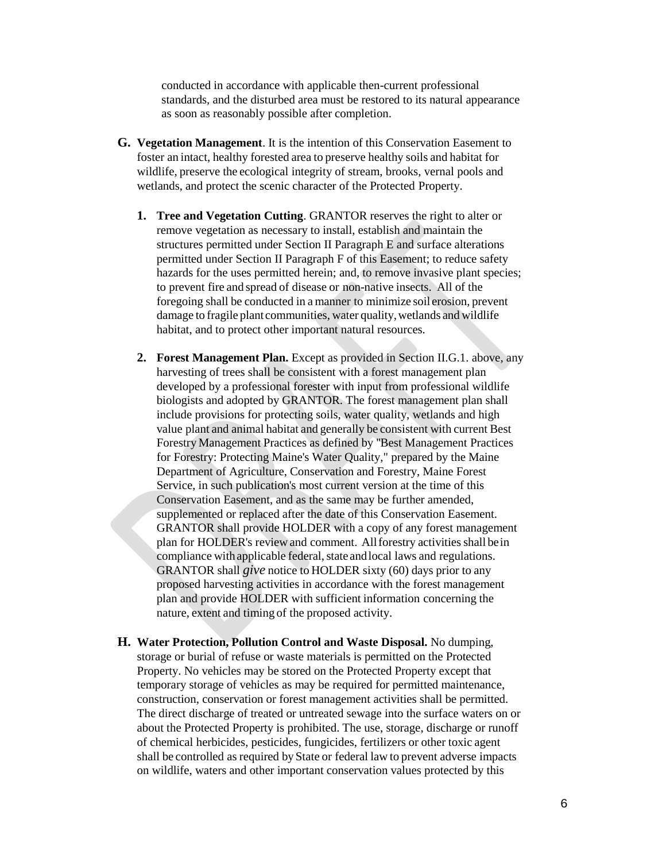conducted in accordance with applicable then-current professional standards, and the disturbed area must be restored to its natural appearance as soon as reasonably possible after completion.

- **G. Vegetation Management**. It is the intention of this Conservation Easement to foster an intact, healthy forested area to preserve healthy soils and habitat for wildlife, preserve the ecological integrity of stream, brooks, vernal pools and wetlands, and protect the scenic character of the Protected Property.
	- **1. Tree and Vegetation Cutting**. GRANTOR reserves the right to alter or remove vegetation as necessary to install, establish and maintain the structures permitted under Section II Paragraph E and surface alterations permitted under Section II Paragraph F of this Easement; to reduce safety hazards for the uses permitted herein; and, to remove invasive plant species; to prevent fire and spread of disease or non-native insects. All of the foregoing shall be conducted in a manner to minimize soil erosion, prevent damage to fragile plant communities, water quality, wetlands and wildlife habitat, and to protect other important natural resources.
	- **2. Forest Management Plan.** Except as provided in Section II.G.1. above, any harvesting of trees shall be consistent with a forest management plan developed by a professional forester with input from professional wildlife biologists and adopted by GRANTOR. The forest management plan shall include provisions for protecting soils, water quality, wetlands and high value plant and animal habitat and generally be consistent with current Best Forestry Management Practices as defined by ''Best Management Practices for Forestry: Protecting Maine's Water Quality," prepared by the Maine Department of Agriculture, Conservation and Forestry, Maine Forest Service, in such publication's most current version at the time of this Conservation Easement, and as the same may be further amended, supplemented or replaced after the date of this Conservation Easement. GRANTOR shall provide HOLDER with a copy of any forest management plan for HOLDER's review and comment. All forestry activities shall bein compliance with applicable federal, state and local laws and regulations. GRANTOR shall *give* notice to HOLDER sixty (60) days prior to any proposed harvesting activities in accordance with the forest management plan and provide HOLDER with sufficient information concerning the nature, extent and timing of the proposed activity.
- **H. Water Protection, Pollution Control and Waste Disposal.** No dumping, storage or burial of refuse or waste materials is permitted on the Protected Property. No vehicles may be stored on the Protected Property except that temporary storage of vehicles as may be required for permitted maintenance, construction, conservation or forest management activities shall be permitted. The direct discharge of treated or untreated sewage into the surface waters on or about the Protected Property is prohibited. The use, storage, discharge or runoff of chemical herbicides, pesticides, fungicides, fertilizers or other toxic agent shall be controlled as required by State or federal law to prevent adverse impacts on wildlife, waters and other important conservation values protected by this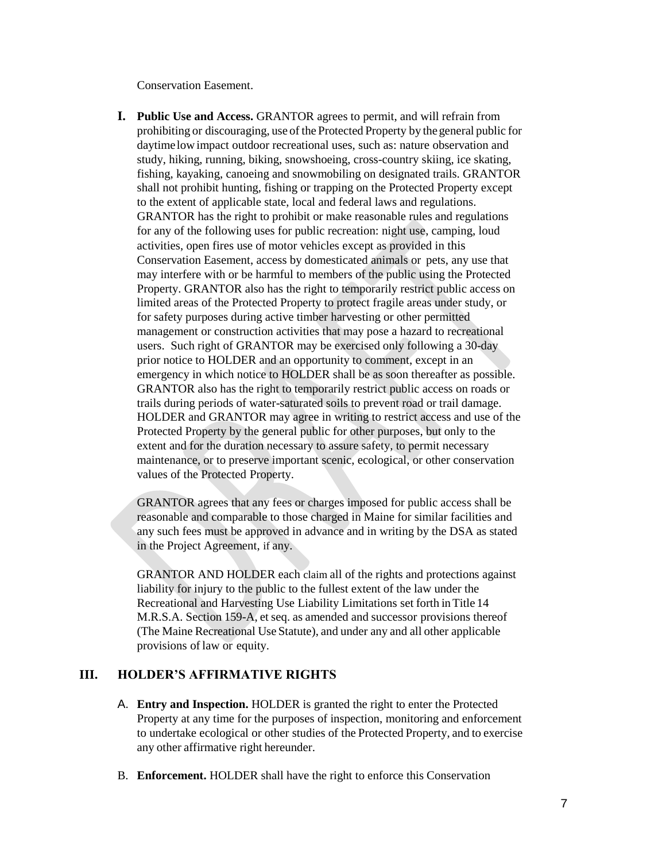Conservation Easement.

**I. Public Use and Access.** GRANTOR agrees to permit, and will refrain from prohibiting or discouraging, use of the Protected Property by thegeneral public for daytime lowimpact outdoor recreational uses, such as: nature observation and study, hiking, running, biking, snowshoeing, cross-country skiing, ice skating, fishing, kayaking, canoeing and snowmobiling on designated trails. GRANTOR shall not prohibit hunting, fishing or trapping on the Protected Property except to the extent of applicable state, local and federal laws and regulations. GRANTOR has the right to prohibit or make reasonable rules and regulations for any of the following uses for public recreation: night use, camping, loud activities, open fires use of motor vehicles except as provided in this Conservation Easement, access by domesticated animals or pets, any use that may interfere with or be harmful to members of the public using the Protected Property. GRANTOR also has the right to temporarily restrict public access on limited areas of the Protected Property to protect fragile areas under study, or for safety purposes during active timber harvesting or other permitted management or construction activities that may pose a hazard to recreational users. Such right of GRANTOR may be exercised only following a 30-day prior notice to HOLDER and an opportunity to comment, except in an emergency in which notice to HOLDER shall be as soon thereafter as possible. GRANTOR also has the right to temporarily restrict public access on roads or trails during periods of water-saturated soils to prevent road or trail damage. HOLDER and GRANTOR may agree in writing to restrict access and use of the Protected Property by the general public for other purposes, but only to the extent and for the duration necessary to assure safety, to permit necessary maintenance, or to preserve important scenic, ecological, or other conservation values of the Protected Property.

GRANTOR agrees that any fees or charges imposed for public access shall be reasonable and comparable to those charged in Maine for similar facilities and any such fees must be approved in advance and in writing by the DSA as stated in the Project Agreement, if any.

GRANTOR AND HOLDER each claim all of the rights and protections against liability for injury to the public to the fullest extent of the law under the Recreational and Harvesting Use Liability Limitations set forth inTitle 14 M.R.S.A. Section 159-A, et seq. as amended and successor provisions thereof (The Maine Recreational Use Statute), and under any and all other applicable provisions of law or equity.

### **III. HOLDER'S AFFIRMATIVE RIGHTS**

- A. **Entry and Inspection.** HOLDER is granted the right to enter the Protected Property at any time for the purposes of inspection, monitoring and enforcement to undertake ecological or other studies of the Protected Property, and to exercise any other affirmative right hereunder.
- B. **Enforcement.** HOLDER shall have the right to enforce this Conservation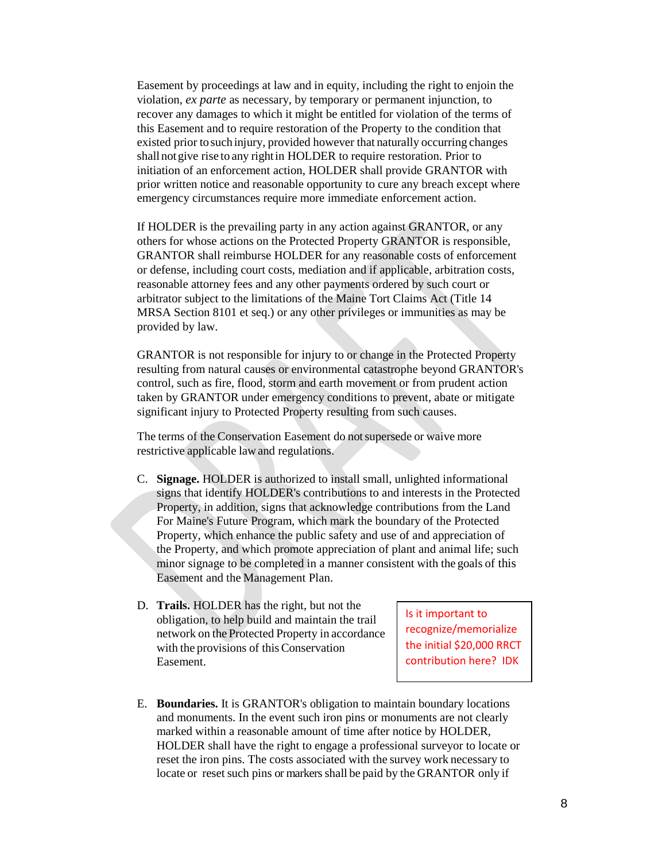Easement by proceedings at law and in equity, including the right to enjoin the violation, *ex parte* as necessary, by temporary or permanent injunction, to recover any damages to which it might be entitled for violation of the terms of this Easement and to require restoration of the Property to the condition that existed prior to such injury, provided however that naturally occurring changes shall notgive rise to any rightin HOLDER to require restoration. Prior to initiation of an enforcement action, HOLDER shall provide GRANTOR with prior written notice and reasonable opportunity to cure any breach except where emergency circumstances require more immediate enforcement action.

If HOLDER is the prevailing party in any action against GRANTOR, or any others for whose actions on the Protected Property GRANTOR is responsible, GRANTOR shall reimburse HOLDER for any reasonable costs of enforcement or defense, including court costs, mediation and if applicable, arbitration costs, reasonable attorney fees and any other payments ordered by such court or arbitrator subject to the limitations of the Maine Tort Claims Act (Title 14 MRSA Section 8101 et seq.) or any other privileges or immunities as may be provided by law.

GRANTOR is not responsible for injury to or change in the Protected Property resulting from natural causes or environmental catastrophe beyond GRANTOR's control, such as fire, flood, storm and earth movement or from prudent action taken by GRANTOR under emergency conditions to prevent, abate or mitigate significant injury to Protected Property resulting from such causes.

The terms of the Conservation Easement do not supersede or waive more restrictive applicable lawand regulations.

- C. **Signage.** HOLDER is authorized to install small, unlighted informational signs that identify HOLDER's contributions to and interests in the Protected Property, in addition, signs that acknowledge contributions from the Land For Maine's Future Program, which mark the boundary of the Protected Property, which enhance the public safety and use of and appreciation of the Property, and which promote appreciation of plant and animal life; such minor signage to be completed in a manner consistent with the goals of this Easement and the Management Plan.
- D. **Trails.** HOLDER has the right, but not the obligation, to help build and maintain the trail network on the Protected Property in accordance with the provisions of this Conservation Easement.

Is it important to recognize/memorialize the initial \$20,000 RRCT contribution here? IDK

E. **Boundaries.** It is GRANTOR's obligation to maintain boundary locations and monuments. In the event such iron pins or monuments are not clearly marked within a reasonable amount of time after notice by HOLDER, HOLDER shall have the right to engage a professional surveyor to locate or reset the iron pins. The costs associated with the survey work necessary to locate or reset such pins or markers shall be paid by the GRANTOR only if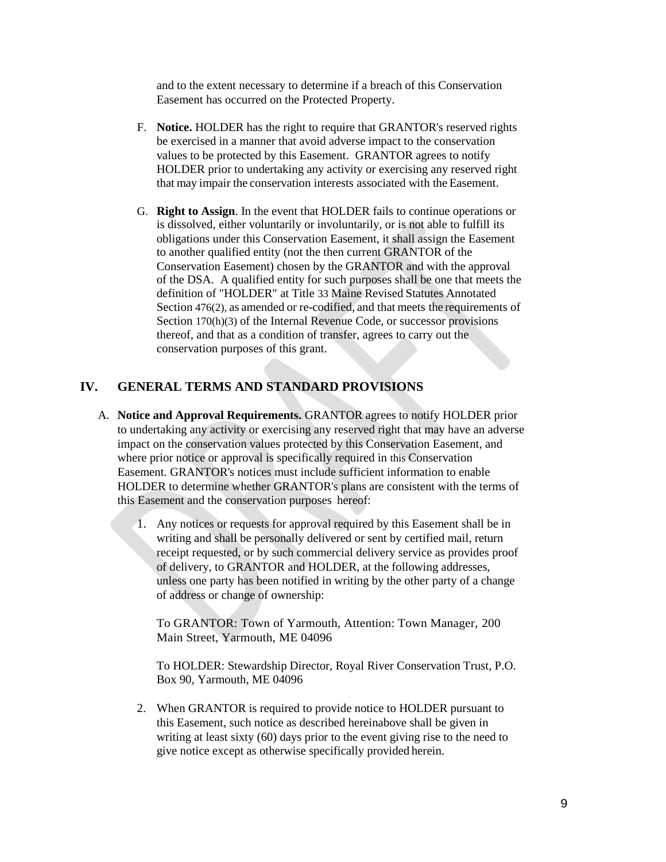and to the extent necessary to determine if a breach of this Conservation Easement has occurred on the Protected Property.

- F. **Notice.** HOLDER has the right to require that GRANTOR's reserved rights be exercised in a manner that avoid adverse impact to the conservation values to be protected by this Easement. GRANTOR agrees to notify HOLDER prior to undertaking any activity or exercising any reserved right that may impair the conservation interests associated with the Easement.
- G. **Right to Assign**. In the event that HOLDER fails to continue operations or is dissolved, either voluntarily or involuntarily, or is not able to fulfill its obligations under this Conservation Easement, it shall assign the Easement to another qualified entity (not the then current GRANTOR of the Conservation Easement) chosen by the GRANTOR and with the approval of the DSA. A qualified entity for such purposes shall be one that meets the definition of "HOLDER" at Title 33 Maine Revised Statutes Annotated Section 476(2), as amended or re-codified, and that meets the requirements of Section 170(h)(3) of the Internal Revenue Code, or successor provisions thereof, and that as a condition of transfer, agrees to carry out the conservation purposes of this grant.

## **IV. GENERAL TERMS AND STANDARD PROVISIONS**

- A. **Notice and Approval Requirements.** GRANTOR agrees to notify HOLDER prior to undertaking any activity or exercising any reserved right that may have an adverse impact on the conservation values protected by this Conservation Easement, and where prior notice or approval is specifically required in this Conservation Easement. GRANTOR's notices must include sufficient information to enable HOLDER to determine whether GRANTOR's plans are consistent with the terms of this Easement and the conservation purposes hereof:
	- 1. Any notices or requests for approval required by this Easement shall be in writing and shall be personally delivered or sent by certified mail, return receipt requested, or by such commercial delivery service as provides proof of delivery, to GRANTOR and HOLDER, at the following addresses, unless one party has been notified in writing by the other party of a change of address or change of ownership:

To GRANTOR: Town of Yarmouth, Attention: Town Manager, 200 Main Street, Yarmouth, ME 04096

To HOLDER: Stewardship Director, Royal River Conservation Trust, P.O. Box 90, Yarmouth, ME 04096

2. When GRANTOR is required to provide notice to HOLDER pursuant to this Easement, such notice as described hereinabove shall be given in writing at least sixty (60) days prior to the event giving rise to the need to give notice except as otherwise specifically provided herein.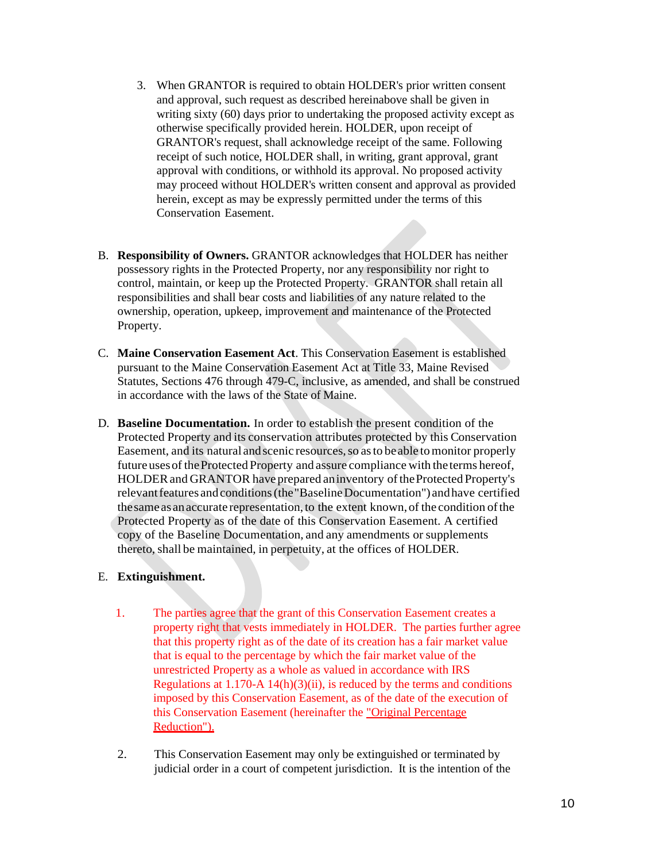- 3. When GRANTOR is required to obtain HOLDER's prior written consent and approval, such request as described hereinabove shall be given in writing sixty (60) days prior to undertaking the proposed activity except as otherwise specifically provided herein. HOLDER, upon receipt of GRANTOR's request, shall acknowledge receipt of the same. Following receipt of such notice, HOLDER shall, in writing, grant approval, grant approval with conditions, or withhold its approval. No proposed activity may proceed without HOLDER's written consent and approval as provided herein, except as may be expressly permitted under the terms of this Conservation Easement.
- B. **Responsibility of Owners.** GRANTOR acknowledges that HOLDER has neither possessory rights in the Protected Property, nor any responsibility nor right to control, maintain, or keep up the Protected Property. GRANTOR shall retain all responsibilities and shall bear costs and liabilities of any nature related to the ownership, operation, upkeep, improvement and maintenance of the Protected Property.
- C. **Maine Conservation Easement Act**. This Conservation Easement is established pursuant to the Maine Conservation Easement Act at Title 33, Maine Revised Statutes, Sections 476 through 479-C, inclusive, as amended, and shall be construed in accordance with the laws of the State of Maine.
- D. **Baseline Documentation.** In order to establish the present condition of the Protected Property and its conservation attributes protected by this Conservation Easement, and its natural andscenic resources,so asto beable tomonitor properly future uses of the Protected Property and assure compliance with the terms hereof, HOLDER and GRANTOR have prepared an inventory of the Protected Property's relevant features and conditions (the "Baseline Documentation") and have certified the same as an accurate representation, to the extent known, of the condition of the Protected Property as of the date of this Conservation Easement. A certified copy of the Baseline Documentation, and any amendments or supplements thereto, shall be maintained, in perpetuity, at the offices of HOLDER.

### E. **Extinguishment.**

- 1. The parties agree that the grant of this Conservation Easement creates a property right that vests immediately in HOLDER. The parties further agree that this property right as of the date of its creation has a fair market value that is equal to the percentage by which the fair market value of the unrestricted Property as a whole as valued in accordance with IRS Regulations at  $1.170-A\ 14(h)(3)(ii)$ , is reduced by the terms and conditions imposed by this Conservation Easement, as of the date of the execution of this Conservation Easement (hereinafter the "Original Percentage Reduction").
- 2. This Conservation Easement may only be extinguished or terminated by judicial order in a court of competent jurisdiction. It is the intention of the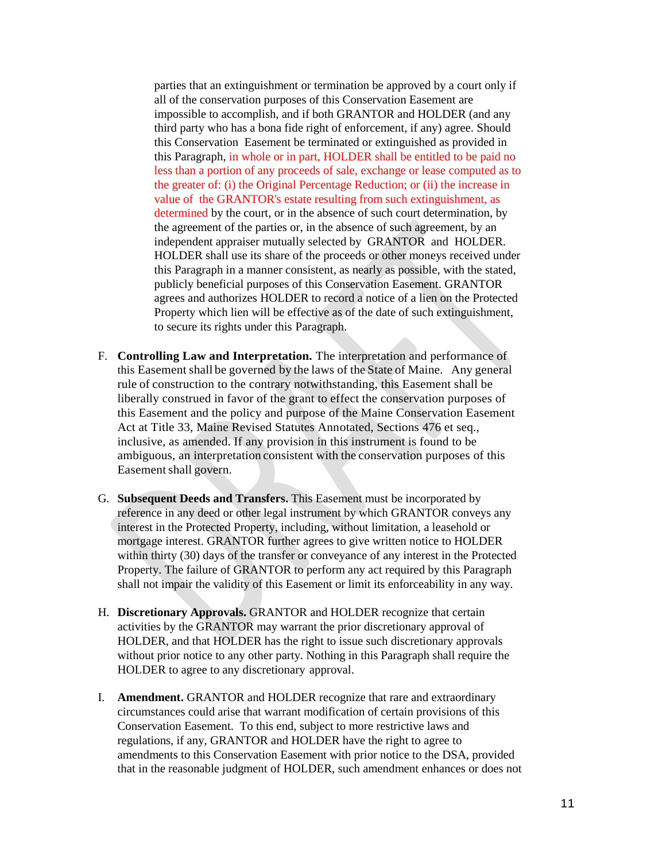parties that an extinguishment or termination be approved by a court only if all of the conservation purposes of this Conservation Easement are impossible to accomplish, and if both GRANTOR and HOLDER (and any third party who has a bona fide right of enforcement, if any) agree. Should this Conservation Easement be terminated or extinguished as provided in this Paragraph, in whole or in part, HOLDER shall be entitled to be paid no less than a portion of any proceeds of sale, exchange or lease computed as to the greater of: (i) the Original Percentage Reduction; or (ii) the increase in value of the GRANTOR's estate resulting from such extinguishment, as determined by the court, or in the absence of such court determination, by the agreement of the parties or, in the absence of such agreement, by an independent appraiser mutually selected by GRANTOR and HOLDER. HOLDER shall use its share of the proceeds or other moneys received under this Paragraph in a manner consistent, as nearly as possible, with the stated, publicly beneficial purposes of this Conservation Easement. GRANTOR agrees and authorizes HOLDER to record a notice of a lien on the Protected Property which lien will be effective as of the date of such extinguishment, to secure its rights under this Paragraph.

- F. **Controlling Law and Interpretation.** The interpretation and performance of this Easement shall be governed by the laws of the State of Maine. Any general rule of construction to the contrary notwithstanding, this Easement shall be liberally construed in favor of the grant to effect the conservation purposes of this Easement and the policy and purpose of the Maine Conservation Easement Act at Title 33, Maine Revised Statutes Annotated, Sections 476 et seq., inclusive, as amended. If any provision in this instrument is found to be ambiguous, an interpretation consistent with the conservation purposes of this Easement shall govern.
- G. **Subsequent Deeds and Transfers.** This Easement must be incorporated by reference in any deed or other legal instrument by which GRANTOR conveys any interest in the Protected Property, including, without limitation, a leasehold or mortgage interest. GRANTOR further agrees to give written notice to HOLDER within thirty (30) days of the transfer or conveyance of any interest in the Protected Property. The failure of GRANTOR to perform any act required by this Paragraph shall not impair the validity of this Easement or limit its enforceability in any way.
- H. **Discretionary Approvals.** GRANTOR and HOLDER recognize that certain activities by the GRANTOR may warrant the prior discretionary approval of HOLDER, and that HOLDER has the right to issue such discretionary approvals without prior notice to any other party. Nothing in this Paragraph shall require the HOLDER to agree to any discretionary approval.
- I. **Amendment.** GRANTOR and HOLDER recognize that rare and extraordinary circumstances could arise that warrant modification of certain provisions of this Conservation Easement. To this end, subject to more restrictive laws and regulations, if any, GRANTOR and HOLDER have the right to agree to amendments to this Conservation Easement with prior notice to the DSA, provided that in the reasonable judgment of HOLDER, such amendment enhances or does not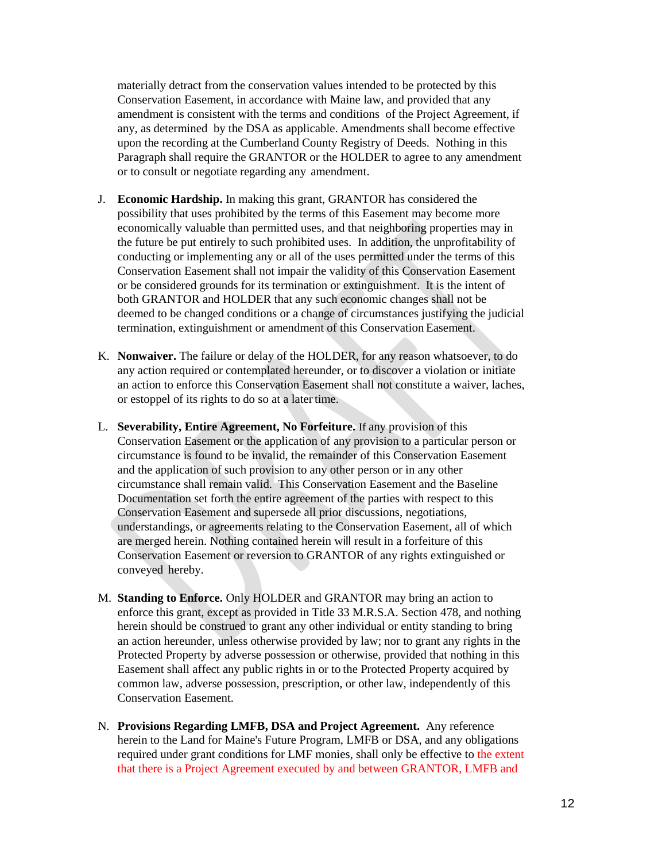materially detract from the conservation values intended to be protected by this Conservation Easement, in accordance with Maine law, and provided that any amendment is consistent with the terms and conditions of the Project Agreement, if any, as determined by the DSA as applicable. Amendments shall become effective upon the recording at the Cumberland County Registry of Deeds. Nothing in this Paragraph shall require the GRANTOR or the HOLDER to agree to any amendment or to consult or negotiate regarding any amendment.

- J. **Economic Hardship.** In making this grant, GRANTOR has considered the possibility that uses prohibited by the terms of this Easement may become more economically valuable than permitted uses, and that neighboring properties may in the future be put entirely to such prohibited uses. In addition, the unprofitability of conducting or implementing any or all of the uses permitted under the terms of this Conservation Easement shall not impair the validity of this Conservation Easement or be considered grounds for its termination or extinguishment. It is the intent of both GRANTOR and HOLDER that any such economic changes shall not be deemed to be changed conditions or a change of circumstances justifying the judicial termination, extinguishment or amendment of this Conservation Easement.
- K. **Nonwaiver.** The failure or delay of the HOLDER, for any reason whatsoever, to do any action required or contemplated hereunder, or to discover a violation or initiate an action to enforce this Conservation Easement shall not constitute a waiver, laches, or estoppel of its rights to do so at a latertime.
- L. **Severability, Entire Agreement, No Forfeiture.** If any provision of this Conservation Easement or the application of any provision to a particular person or circumstance is found to be invalid, the remainder of this Conservation Easement and the application of such provision to any other person or in any other circumstance shall remain valid. This Conservation Easement and the Baseline Documentation set forth the entire agreement of the parties with respect to this Conservation Easement and supersede all prior discussions, negotiations, understandings, or agreements relating to the Conservation Easement, all of which are merged herein. Nothing contained herein will result in a forfeiture of this Conservation Easement or reversion to GRANTOR of any rights extinguished or conveyed hereby.
- M. **Standing to Enforce.** Only HOLDER and GRANTOR may bring an action to enforce this grant, except as provided in Title 33 M.R.S.A. Section 478, and nothing herein should be construed to grant any other individual or entity standing to bring an action hereunder, unless otherwise provided by law; nor to grant any rights in the Protected Property by adverse possession or otherwise, provided that nothing in this Easement shall affect any public rights in or to the Protected Property acquired by common law, adverse possession, prescription, or other law, independently of this Conservation Easement.
- N. **Provisions Regarding LMFB, DSA and Project Agreement.** Any reference herein to the Land for Maine's Future Program, LMFB or DSA, and any obligations required under grant conditions for LMF monies, shall only be effective to the extent that there is a Project Agreement executed by and between GRANTOR, LMFB and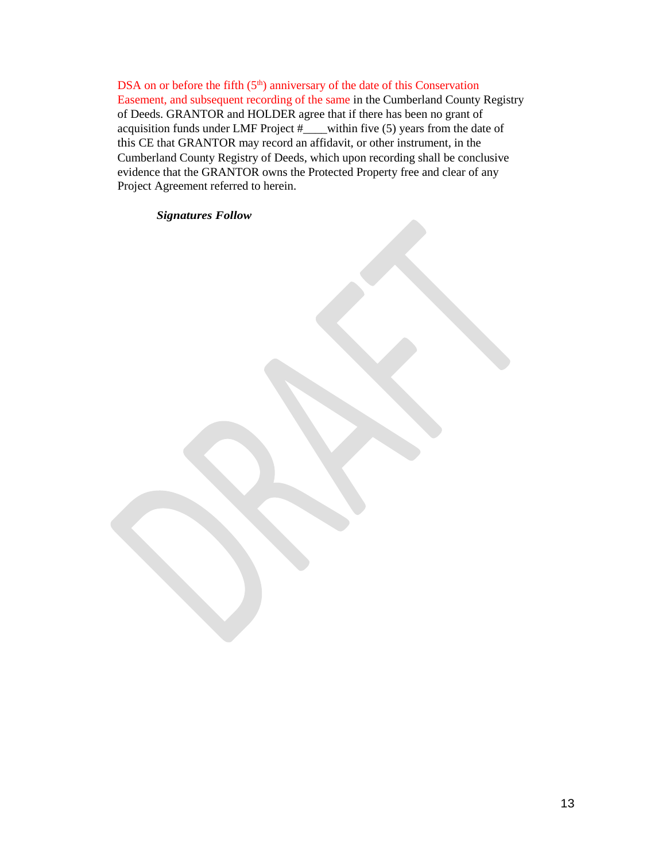DSA on or before the fifth  $(5<sup>th</sup>)$  anniversary of the date of this Conservation Easement, and subsequent recording of the same in the Cumberland County Registry of Deeds. GRANTOR and HOLDER agree that if there has been no grant of acquisition funds under LMF Project  $\#$  within five (5) years from the date of this CE that GRANTOR may record an affidavit, or other instrument, in the Cumberland County Registry of Deeds, which upon recording shall be conclusive evidence that the GRANTOR owns the Protected Property free and clear of any Project Agreement referred to herein.

### *Signatures Follow*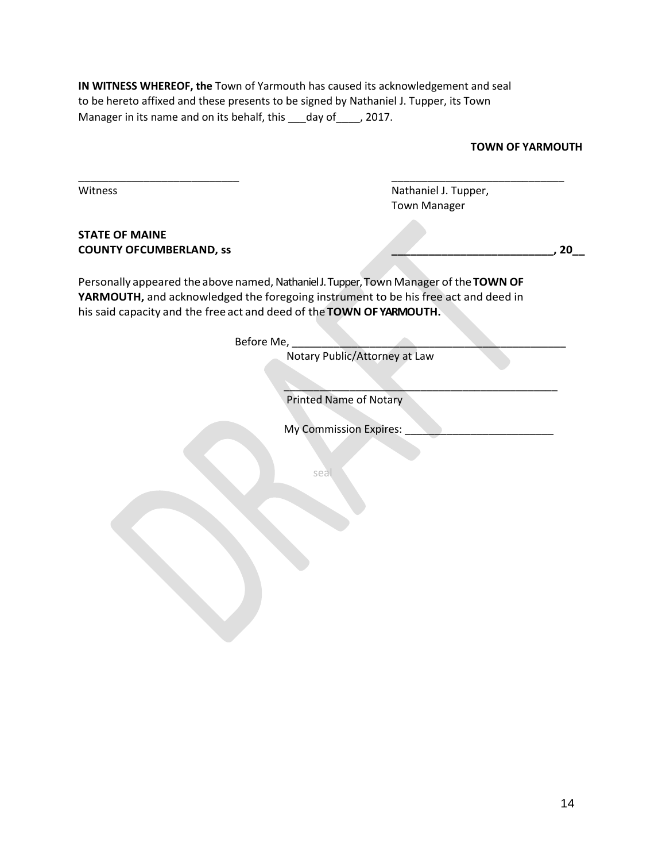**IN WITNESS WHEREOF, the** Town of Yarmouth has caused its acknowledgement and seal to be hereto affixed and these presents to be signed by Nathaniel J. Tupper, its Town Manager in its name and on its behalf, this \_\_\_day of \_\_\_\_, 2017.

\_\_\_\_\_\_\_\_\_\_\_\_\_\_\_\_\_\_\_\_\_\_\_\_\_\_\_ \_\_\_\_\_\_\_\_\_\_\_\_\_\_\_\_\_\_\_\_\_\_\_\_\_\_\_\_\_

| <b>TOWN OF YARMOUTH</b> |  |  |  |  |
|-------------------------|--|--|--|--|
|-------------------------|--|--|--|--|

Witness **Nathaniel J. Tupper**, Town Manager

 $\searrow$   $\searrow$   $\searrow$   $\searrow$   $\searrow$   $\searrow$   $\searrow$   $\searrow$   $\searrow$   $\searrow$   $\searrow$   $\searrow$   $\searrow$   $\searrow$   $\searrow$   $\searrow$   $\searrow$   $\searrow$   $\searrow$   $\searrow$   $\searrow$   $\searrow$   $\searrow$   $\searrow$   $\searrow$   $\searrow$   $\searrow$   $\searrow$   $\searrow$   $\searrow$   $\searrow$   $\searrow$   $\searrow$   $\searrow$   $\searrow$   $\searrow$   $\searrow$ 

### **STATE OF MAINE COUNTY OFCUMBERLAND, ss \_\_\_\_\_\_\_\_\_\_\_\_\_\_\_\_\_\_\_\_\_\_\_\_\_\_, 20\_\_**

Personally appeared the above named, Nathaniel J. Tupper, Town Manager of the TOWN OF **YARMOUTH,** and acknowledged the foregoing instrument to be his free act and deed in his said capacity and the free act and deed of the **TOWN OF YARMOUTH.**

Before Me,

Notary Public/Attorney at Law

Printed Name of Notary

My Commission Expires:

seal